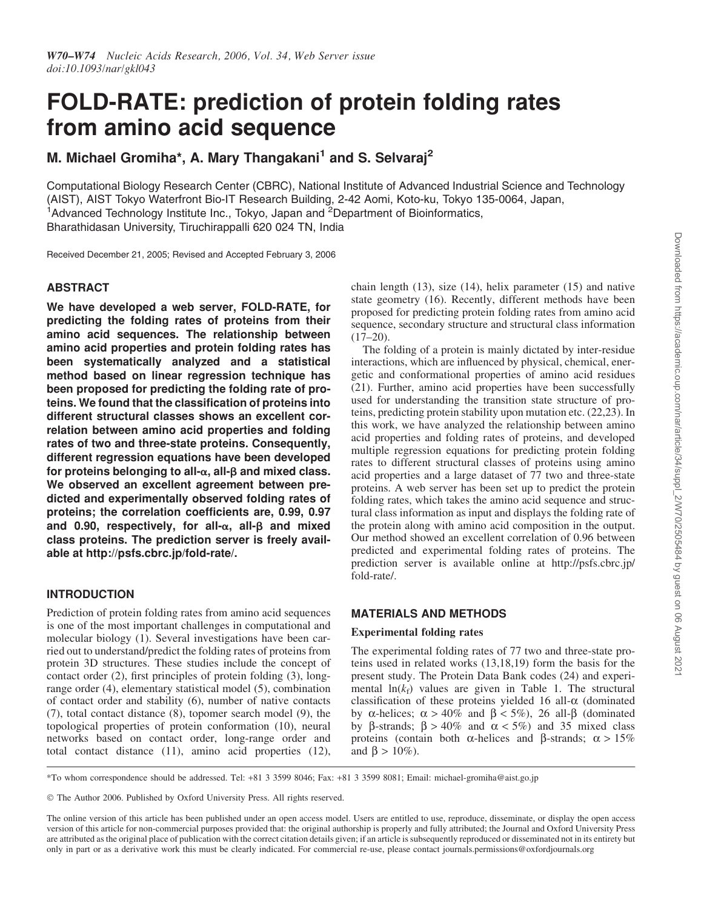# FOLD-RATE: prediction of protein folding rates from amino acid sequence

M. Michael Gromiha\*, A. Mary Thangakani<sup>1</sup> and S. Selvaraj<sup>2</sup>

Computational Biology Research Center (CBRC), National Institute of Advanced Industrial Science and Technology (AIST), AIST Tokyo Waterfront Bio-IT Research Building, 2-42 Aomi, Koto-ku, Tokyo 135-0064, Japan, <sup>1</sup>Advanced Technology Institute Inc., Tokyo, Japan and <sup>2</sup>Department of Bioinformatics, Bharathidasan University, Tiruchirappalli 620 024 TN, India

Received December 21, 2005; Revised and Accepted February 3, 2006

# ABSTRACT

We have developed a web server, FOLD-RATE, for predicting the folding rates of proteins from their amino acid sequences. The relationship between amino acid properties and protein folding rates has been systematically analyzed and a statistical method based on linear regression technique has been proposed for predicting the folding rate of proteins. We found that the classification of proteins into different structural classes shows an excellent correlation between amino acid properties and folding rates of two and three-state proteins. Consequently, different regression equations have been developed for proteins belonging to all- $\alpha$ , all- $\beta$  and mixed class. We observed an excellent agreement between predicted and experimentally observed folding rates of proteins; the correlation coefficients are, 0.99, 0.97 and 0.90, respectively, for all- $\alpha$ , all- $\beta$  and mixed class proteins. The prediction server is freely available at http://psfs.cbrc.jp/fold-rate/.

# INTRODUCTION

Prediction of protein folding rates from amino acid sequences is one of the most important challenges in computational and molecular biology (1). Several investigations have been carried out to understand/predict the folding rates of proteins from protein 3D structures. These studies include the concept of contact order (2), first principles of protein folding (3), longrange order (4), elementary statistical model (5), combination of contact order and stability (6), number of native contacts (7), total contact distance (8), topomer search model (9), the topological properties of protein conformation (10), neural networks based on contact order, long-range order and total contact distance (11), amino acid properties (12),

chain length (13), size (14), helix parameter (15) and native state geometry (16). Recently, different methods have been proposed for predicting protein folding rates from amino acid sequence, secondary structure and structural class information (17–20).

The folding of a protein is mainly dictated by inter-residue interactions, which are influenced by physical, chemical, energetic and conformational properties of amino acid residues (21). Further, amino acid properties have been successfully used for understanding the transition state structure of proteins, predicting protein stability upon mutation etc. (22,23). In this work, we have analyzed the relationship between amino acid properties and folding rates of proteins, and developed multiple regression equations for predicting protein folding rates to different structural classes of proteins using amino acid properties and a large dataset of 77 two and three-state proteins. A web server has been set up to predict the protein folding rates, which takes the amino acid sequence and structural class information as input and displays the folding rate of the protein along with amino acid composition in the output. Our method showed an excellent correlation of 0.96 between predicted and experimental folding rates of proteins. The prediction server is available online at http://psfs.cbrc.jp/ fold-rate/.

# MATERIALS AND METHODS

#### Experimental folding rates

The experimental folding rates of 77 two and three-state proteins used in related works (13,18,19) form the basis for the present study. The Protein Data Bank codes (24) and experimental  $ln(k_f)$  values are given in Table 1. The structural classification of these proteins yielded 16 all- $\alpha$  (dominated by  $\alpha$ -helices;  $\alpha > 40\%$  and  $\beta < 5\%$ ), 26 all- $\beta$  (dominated by  $\beta$ -strands;  $\beta > 40\%$  and  $\alpha < 5\%$  and 35 mixed class proteins (contain both  $\alpha$ -helices and  $\beta$ -strands;  $\alpha > 15\%$ and  $\beta > 10\%$ ).

\*To whom correspondence should be addressed. Tel: +81 3 3599 8046; Fax: +81 3 3599 8081; Email: michael-gromiha@aist.go.jp

The Author 2006. Published by Oxford University Press. All rights reserved.

The online version of this article has been published under an open access model. Users are entitled to use, reproduce, disseminate, or display the open access version of this article for non-commercial purposes provided that: the original authorship is properly and fully attributed; the Journal and Oxford University Press are attributed as the original place of publication with the correct citation details given; if an article is subsequently reproduced or disseminated not in its entirety but only in part or as a derivative work this must be clearly indicated. For commercial re-use, please contact journals.permissions@oxfordjournals.org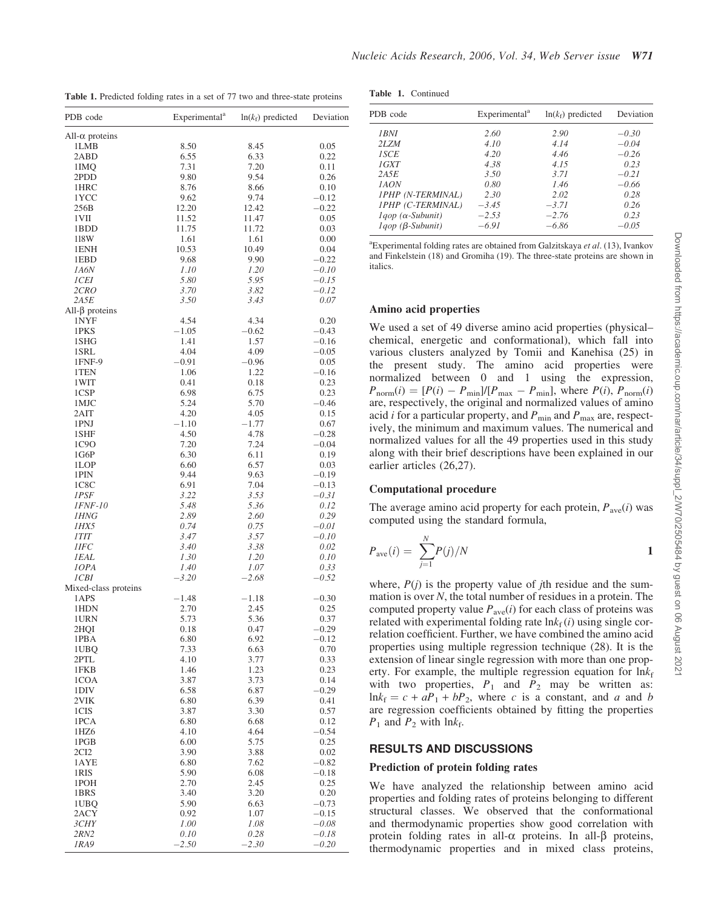Table 1. Predicted folding rates in a set of 77 two and three-state proteins

| PDB code               | Experimental <sup>a</sup> | $ln(k_f)$ predicted | Deviation          |
|------------------------|---------------------------|---------------------|--------------------|
| All- $\alpha$ proteins |                           |                     |                    |
| 1LMB                   | 8.50                      | 8.45                | 0.05               |
| 2ABD                   | 6.55                      | 6.33                | 0.22               |
| 1IMQ<br>2PDD           | 7.31<br>9.80              | 7.20<br>9.54        | 0.11               |
| 1HRC                   | 8.76                      | 8.66                | 0.26<br>0.10       |
| 1YCC                   | 9.62                      | 9.74                | $-0.12$            |
| 256B                   | 12.20                     | 12.42               | $-0.22$            |
| 1VII                   | 11.52                     | 11.47               | 0.05               |
| 1BDD                   | 11.75                     | 11.72               | 0.03               |
| 118W                   | 1.61                      | 1.61                | 0.00               |
| 1ENH                   | 10.53                     | 10.49               | 0.04               |
| 1EBD<br>1A6N           | 9.68<br>1.10              | 9.90<br>1.20        | $-0.22$<br>$-0.10$ |
| <i>ICEI</i>            | 5.80                      | 5.95                | $-0.15$            |
| 2CRO                   | 3.70                      | 3.82                | $-0.12$            |
| 2A5E                   | 3.50                      | 3.43                | 0.07               |
| $All-\beta$ proteins   |                           |                     |                    |
| 1NYF                   | 4.54                      | 4.34                | 0.20               |
| 1PKS                   | $-1.05$                   | $-0.62$             | $-0.43$            |
| 1SHG                   | 1.41                      | 1.57                | $-0.16$            |
| 1SRL<br>1FNF-9         | 4.04<br>$-0.91$           | 4.09<br>$-0.96$     | $-0.05$<br>0.05    |
| 1TEN                   | 1.06                      | 1.22                | $-0.16$            |
| 1WIT                   | 0.41                      | 0.18                | 0.23               |
| 1CSP                   | 6.98                      | 6.75                | 0.23               |
| 1MJC                   | 5.24                      | 5.70                | $-0.46$            |
| 2AIT                   | 4.20                      | 4.05                | 0.15               |
| 1PNJ                   | $-1.10$                   | $-1.77$             | 0.67               |
| 1SHF                   | 4.50                      | 4.78                | $-0.28$            |
| 1C9O<br>1G6P           | 7.20<br>6.30              | 7.24<br>6.11        | $-0.04$<br>0.19    |
| 1LOP                   | 6.60                      | 6.57                | 0.03               |
| 1PIN                   | 9.44                      | 9.63                | $-0.19$            |
| 1C8C                   | 6.91                      | 7.04                | $-0.13$            |
| 1PSF                   | 3.22                      | 3.53                | $-0.31$            |
| <i><b>IFNF-10</b></i>  | 5.48                      | 5.36                | 0.12               |
| <i>1HNG</i>            | 2.89                      | 2.60                | 0.29               |
| 1HX5                   | 0.74                      | 0.75                | $-0.01$<br>$-0.10$ |
| 1TIT<br>1IFC           | 3.47<br>3.40              | 3.57<br>3.38        | 0.02               |
| <i>IEAL</i>            | 1.30                      | 1.20                | 0.10               |
| 10PA                   | 1.40                      | 1.07                | 0.33               |
| ICBI                   | $-3.20$                   | $-2.68$             | $-0.52$            |
| Mixed-class proteins   |                           |                     |                    |
| 1APS                   | $-1.48$                   | $-1.18$             | $-0.30$            |
| 1HDN                   | 2.70                      | 2.45                | 0.25               |
| 1URN<br>2HQI           | 5.73<br>0.18              | 5.36<br>0.47        | 0.37<br>$-0.29$    |
| 1PBA                   | 6.80                      | 6.92                | $-0.12$            |
| 1UBQ                   | 7.33                      | 6.63                | 0.70               |
| 2PTL                   | 4.10                      | 3.77                | 0.33               |
| 1FKB                   | 1.46                      | 1.23                | 0.23               |
| 1COA                   | 3.87                      | 3.73                | 0.14               |
| 1DIV                   | 6.58                      | 6.87                | $-0.29$            |
| 2VIK<br>1CIS           | 6.80<br>3.87              | 6.39<br>3.30        | 0.41<br>0.57       |
| 1PCA                   | 6.80                      | 6.68                | 0.12               |
| 1HZ <sub>6</sub>       | 4.10                      | 4.64                | -0.54              |
| 1PGB                   | 6.00                      | 5.75                | 0.25               |
| 2CI2                   | 3.90                      | 3.88                | 0.02               |
| 1AYE                   | 6.80                      | 7.62                | $-0.82$            |
| 1RIS                   | 5.90                      | 6.08                | $-0.18$            |
| 1POH                   | 2.70                      | 2.45                | 0.25               |
| 1BRS                   | 3.40                      | 3.20<br>6.63        | 0.20               |
| 1UBQ<br>2ACY           | 5.90<br>0.92              | 1.07                | $-0.73$<br>$-0.15$ |
| <i>3CHY</i>            | 1.00                      | 1.08                | $-0.08$            |
| 2RN2                   | 0.10                      | 0.28                | $-0.18$            |
| 1RA9                   | $-2.50$                   | $-2.30$             | $-0.20$            |

| PDB code                    | Experimental <sup>a</sup> | $ln(k_f)$ predicted | Deviation |
|-----------------------------|---------------------------|---------------------|-----------|
| 1 BN I                      | 2.60                      | 2.90                | $-0.30$   |
| 2LZM                        | 4.10                      | 4.14                | $-0.04$   |
| <i>ISCE</i>                 | 4.20                      | 4.46                | $-0.26$   |
| 1GXT                        | 4.38                      | 4.15                | 0.23      |
| 2A5E                        | 3.50                      | 3.71                | $-0.21$   |
| 1AON                        | 0.80                      | 1.46                | $-0.66$   |
| 1PHP (N-TERMINAL)           | 2.30                      | 2.02                | 0.28      |
| 1PHP (C-TERMINAL)           | $-3.45$                   | $-3.71$             | 0.26      |
| $1qop$ ( $\alpha$ -Subunit) | $-2.53$                   | $-2.76$             | 0.23      |
| $1qop$ ( $\beta$ -Subunit)  | $-6.91$                   | $-6.86$             | $-0.05$   |

italics. a Experimental folding rates are obtained from Galzitskaya *et al*. (13), Ivankov and Finkelstein (18) and Gromiha (19). The three-state proteins are shown in

#### Amino acid properties

We used a set of 49 diverse amino acid properties (physical– chemical, energetic and conformational), which fall into various clusters analyzed by Tomii and Kanehisa (25) in the present study. The amino acid properties were normalized between 0 and 1 using the expression,  $P_{\text{norm}}(i) = [P(i) - P_{\text{min}}]/[P_{\text{max}} - P_{\text{min}}]$ , where  $P(i)$ ,  $P_{\text{norm}}(i)$ are, respectively, the original and normalized values of amino acid *i* for a particular property, and  $P_{\text{min}}$  and  $P_{\text{max}}$  are, respectively, the minimum and maximum values. The numerical and normalized values for all the 49 properties used in this study along with their brief descriptions have been explained in our earlier articles (26,27).

#### Computational procedure

The average amino acid property for each protein,  $P_{\text{ave}}(i)$  was computed using the standard formula,

$$
P_{\text{ave}}(i) = \sum_{j=1}^{N} P(j)/N
$$

where,  $P(i)$  is the property value of *j*th residue and the summation is over *N*, the total number of residues in a protein. The computed property value  $P_{\text{ave}}(i)$  for each class of proteins was related with experimental folding rate  $\ln k_f(i)$  using single correlation coefficient. Further, we have combined the amino acid properties using multiple regression technique (28). It is the extension of linear single regression with more than one property. For example, the multiple regression equation for  $\ln k_f$ with two properties,  $P_1$  and  $P_2$  may be written as:  $ln k_f = c + aP_1 + bP_2$ , where *c* is a constant, and *a* and *b* are regression coefficients obtained by fitting the properties  $P_1$  and  $P_2$  with ln $k_f$ .

### RESULTS AND DISCUSSIONS

#### Prediction of protein folding rates

We have analyzed the relationship between amino acid properties and folding rates of proteins belonging to different structural classes. We observed that the conformational and thermodynamic properties show good correlation with protein folding rates in all- $\alpha$  proteins. In all- $\beta$  proteins, thermodynamic properties and in mixed class proteins,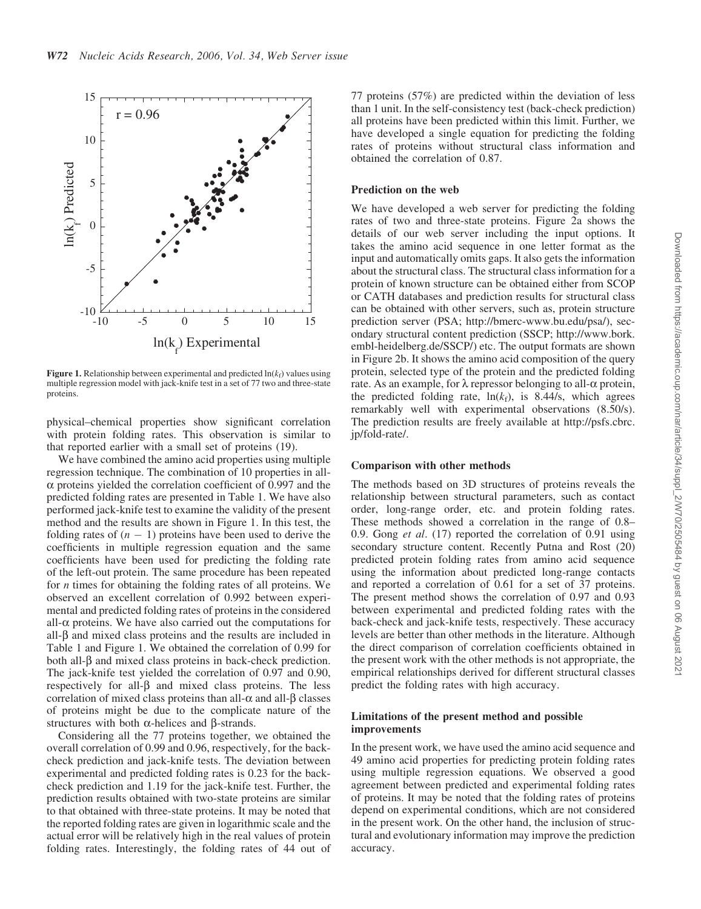

Figure 1. Relationship between experimental and predicted  $ln(k_f)$  values using multiple regression model with jack-knife test in a set of 77 two and three-state proteins.

physical–chemical properties show significant correlation with protein folding rates. This observation is similar to that reported earlier with a small set of proteins (19).

We have combined the amino acid properties using multiple regression technique. The combination of 10 properties in all- $\alpha$  proteins yielded the correlation coefficient of 0.997 and the predicted folding rates are presented in Table 1. We have also performed jack-knife test to examine the validity of the present method and the results are shown in Figure 1. In this test, the folding rates of  $(n - 1)$  proteins have been used to derive the coefficients in multiple regression equation and the same coefficients have been used for predicting the folding rate of the left-out protein. The same procedure has been repeated for *n* times for obtaining the folding rates of all proteins. We observed an excellent correlation of 0.992 between experimental and predicted folding rates of proteins in the considered all- $\alpha$  proteins. We have also carried out the computations for all- $\beta$  and mixed class proteins and the results are included in Table 1 and Figure 1. We obtained the correlation of 0.99 for both all- $\beta$  and mixed class proteins in back-check prediction. The jack-knife test yielded the correlation of 0.97 and 0.90, respectively for all- $\beta$  and mixed class proteins. The less correlation of mixed class proteins than all- $\alpha$  and all- $\beta$  classes of proteins might be due to the complicate nature of the structures with both  $\alpha$ -helices and  $\beta$ -strands.

Considering all the 77 proteins together, we obtained the overall correlation of 0.99 and 0.96, respectively, for the backcheck prediction and jack-knife tests. The deviation between experimental and predicted folding rates is 0.23 for the backcheck prediction and 1.19 for the jack-knife test. Further, the prediction results obtained with two-state proteins are similar to that obtained with three-state proteins. It may be noted that the reported folding rates are given in logarithmic scale and the actual error will be relatively high in the real values of protein folding rates. Interestingly, the folding rates of 44 out of 77 proteins (57%) are predicted within the deviation of less than 1 unit. In the self-consistency test (back-check prediction) all proteins have been predicted within this limit. Further, we have developed a single equation for predicting the folding rates of proteins without structural class information and obtained the correlation of 0.87.

#### Prediction on the web

We have developed a web server for predicting the folding rates of two and three-state proteins. Figure 2a shows the details of our web server including the input options. It takes the amino acid sequence in one letter format as the input and automatically omits gaps. It also gets the information about the structural class. The structural class information for a protein of known structure can be obtained either from SCOP or CATH databases and prediction results for structural class can be obtained with other servers, such as, protein structure prediction server (PSA; http://bmerc-www.bu.edu/psa/), secondary structural content prediction (SSCP; http://www.bork. embl-heidelberg.de/SSCP/) etc. The output formats are shown in Figure 2b. It shows the amino acid composition of the query protein, selected type of the protein and the predicted folding rate. As an example, for  $\lambda$  repressor belonging to all- $\alpha$  protein, the predicted folding rate,  $ln(k_f)$ , is 8.44/s, which agrees remarkably well with experimental observations (8.50/s). The prediction results are freely available at http://psfs.cbrc. jp/fold-rate/.

#### Comparison with other methods

The methods based on 3D structures of proteins reveals the relationship between structural parameters, such as contact order, long-range order, etc. and protein folding rates. These methods showed a correlation in the range of 0.8– 0.9. Gong *et al*. (17) reported the correlation of 0.91 using secondary structure content. Recently Putna and Rost (20) predicted protein folding rates from amino acid sequence using the information about predicted long-range contacts and reported a correlation of 0.61 for a set of 37 proteins. The present method shows the correlation of 0.97 and 0.93 between experimental and predicted folding rates with the back-check and jack-knife tests, respectively. These accuracy levels are better than other methods in the literature. Although the direct comparison of correlation coefficients obtained in the present work with the other methods is not appropriate, the empirical relationships derived for different structural classes predict the folding rates with high accuracy.

#### Limitations of the present method and possible improvements

In the present work, we have used the amino acid sequence and 49 amino acid properties for predicting protein folding rates using multiple regression equations. We observed a good agreement between predicted and experimental folding rates of proteins. It may be noted that the folding rates of proteins depend on experimental conditions, which are not considered in the present work. On the other hand, the inclusion of structural and evolutionary information may improve the prediction accuracy.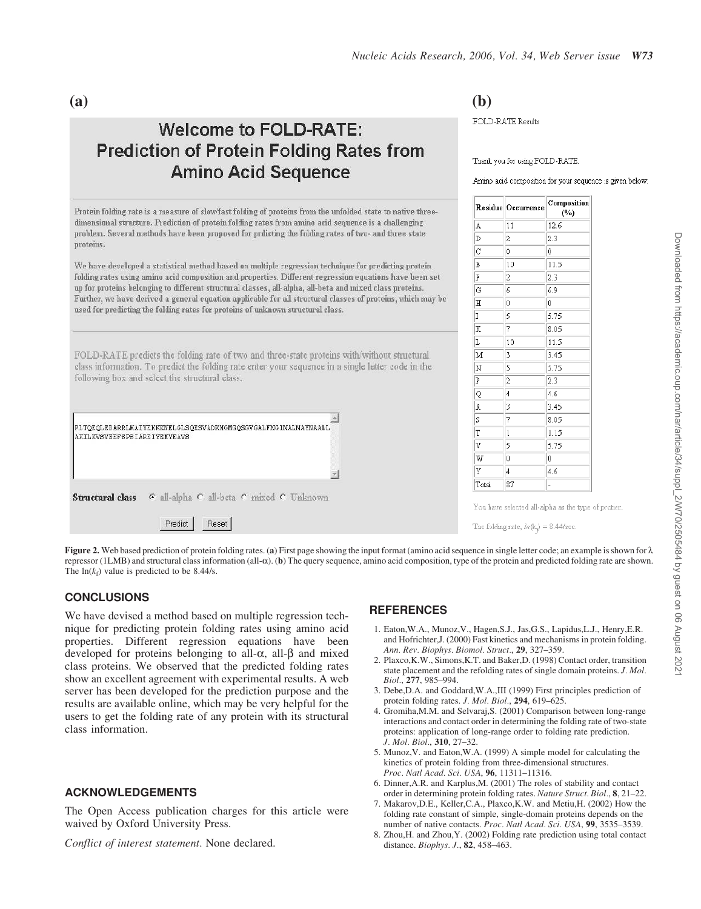# **Welcome to FOLD-RATE: Prediction of Protein Folding Rates from Amino Acid Sequence**

Protein folding rate is a measure of slow/fast folding of proteins from the unfolded state to native threedimensional structure. Prediction of protein folding rates from amino acid sequence is a challenging problem. Several methods have been proposed for prdicting the folding rates of two- and three state proteins.

We have developed a statistical method based on multiple regression technique for predicting protein folding rates using amino acid composition and properties. Different regression equations have been set up for proteins belonging to different structural classes, all-alpha, all-beta and mixed class proteins. Further, we have derived a general equation applicable for all structural classes of proteins, which may be used for predicting the folding rates for proteins of unknown structural class.

FOLD-RATE predicts the folding rate of two and three-state proteins with/without structural class information. To predict the folding rate enter your sequence in a single letter code in the following box and select the structural class.



**(a) (b)**

FOLD-RATE Results

Thank you for using FOLD-RATE.

Amino acid composition for your sequence is given below:

|                | Residue Occurrence | Composition<br>$(\%)$ |
|----------------|--------------------|-----------------------|
| A              | 11                 | 12.6                  |
| D              | 2                  | 2.3                   |
| $\overline{C}$ | $\mathbf 0$        | Ũ                     |
| E              | 10                 | 11.5                  |
| F              | 2                  | 2.3                   |
| G              | 6                  | 6.9                   |
| Έ              | Û                  | 0                     |
| I              | 5                  | 5.75                  |
| K              | 7                  | 8.05                  |
| L              | 10                 | 11.5                  |
| M              | 3                  | 3.45                  |
| $\mathbf N$    | 5                  | 5.75                  |
| P              | 2                  | 2.3                   |
| Q              | $\overline{4}$     | 4.6                   |
| R              | 3                  | 3.45                  |
| S              | 7                  | 8.05                  |
| T              | 1                  | 1.15                  |
| V              | 5                  | 5.75                  |
| W              | Ů                  | 0                     |
| Y              | 4                  | 4.6                   |
| Total          | 87                 |                       |

The folding rate,  $ln(k<sub>e</sub>) = 8.44/\text{sec}$ 

Figure 2. Web based prediction of protein folding rates. (a) First page showing the input format (amino acid sequence in single letter code; an example is shown for  $\lambda$ repressor (1LMB) and structural class information (all-a). (b) The query sequence, amino acid composition, type of the protein and predicted folding rate are shown. The  $ln(k_f)$  value is predicted to be 8.44/s.

# **CONCLUSIONS**

We have devised a method based on multiple regression technique for predicting protein folding rates using amino acid properties. Different regression equations have been developed for proteins belonging to all- $\alpha$ , all- $\beta$  and mixed class proteins. We observed that the predicted folding rates show an excellent agreement with experimental results. A web server has been developed for the prediction purpose and the results are available online, which may be very helpful for the users to get the folding rate of any protein with its structural class information.

# ACKNOWLEDGEMENTS

The Open Access publication charges for this article were waived by Oxford University Press.

*Conflict of interest statement.* None declared.

# **REFERENCES**

- 1. Eaton,W.A., Munoz,V., Hagen,S.J., Jas,G.S., Lapidus,L.J., Henry,E.R. and Hofrichter,J. (2000) Fast kinetics and mechanisms in protein folding. *Ann. Rev. Biophys. Biomol. Struct.*, 29, 327–359.
- 2. Plaxco,K.W., Simons,K.T. and Baker,D. (1998) Contact order, transition state placement and the refolding rates of single domain proteins. *J. Mol. Biol.*, 277, 985–994.
- 3. Debe,D.A. and Goddard,W.A.,III (1999) First principles prediction of protein folding rates. *J. Mol. Biol.*, 294, 619–625.
- 4. Gromiha,M.M. and Selvaraj,S. (2001) Comparison between long-range interactions and contact order in determining the folding rate of two-state proteins: application of long-range order to folding rate prediction. *J. Mol. Biol.*, 310, 27–32.
- 5. Munoz,V. and Eaton,W.A. (1999) A simple model for calculating the kinetics of protein folding from three-dimensional structures. *Proc. Natl Acad. Sci. USA*, 96, 11311–11316.
- 6. Dinner,A.R. and Karplus,M. (2001) The roles of stability and contact order in determining protein folding rates. *Nature Struct. Biol.*, 8, 21–22.
- 7. Makarov,D.E., Keller,C.A., Plaxco,K.W. and Metiu,H. (2002) How the folding rate constant of simple, single-domain proteins depends on the number of native contacts. *Proc. Natl Acad. Sci. USA*, 99, 3535–3539.
- 8. Zhou,H. and Zhou,Y. (2002) Folding rate prediction using total contact distance. *Biophys. J.*, 82, 458–463.